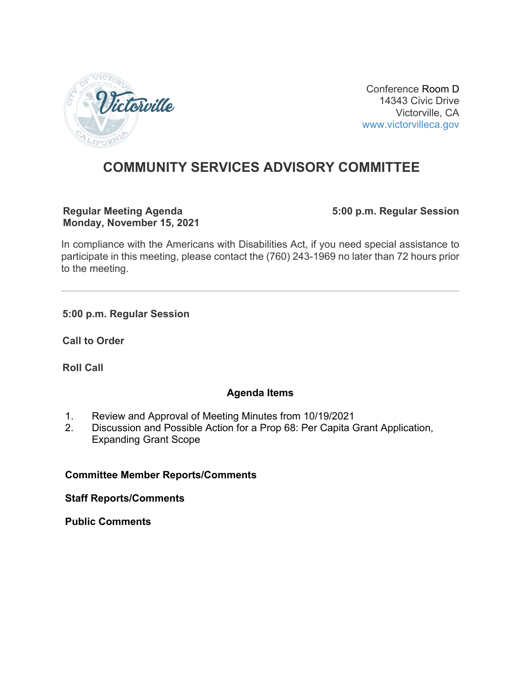

Conference Room D 14343 Civic Drive Victorville, CA [www.victorvilleca.gov](http://www.victorvilleca.gov/)

# **COMMUNITY SERVICES ADVISORY COMMITTEE**

#### **Regular Meeting Agenda Monday, November 15, 2021**

**5:00 p.m. Regular Session**

In compliance with the Americans with Disabilities Act, if you need special assistance to participate in this meeting, please contact the (760) 243-1969 no later than 72 hours prior to the meeting.

**5:00 p.m. Regular Session**

**Call to Order**

**Roll Call**

# **Agenda Items**

- 1. Review and Approval of Meeting Minutes from 10/19/2021
- 2. Discussion and Possible Action for a Prop 68: Per Capita Grant Application, Expanding Grant Scope

# **Committee Member Reports/Comments**

**Staff Reports/Comments**

**Public Comments**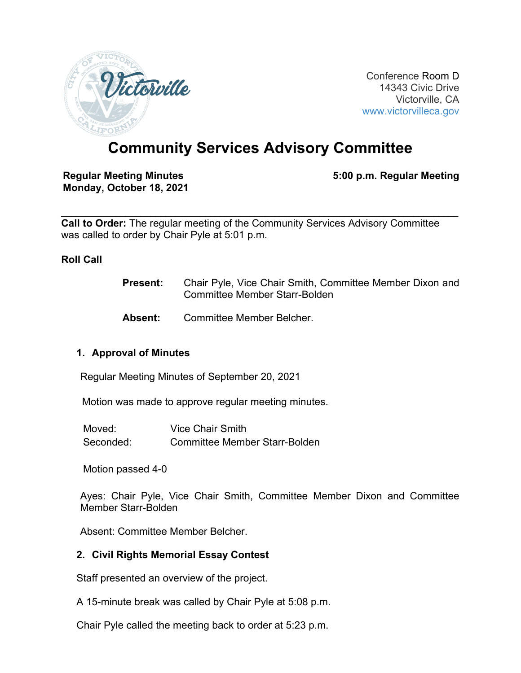

Conference Room D 14343 Civic Drive Victorville, CA [www.victorvilleca.gov](http://www.victorvilleca.gov/)

# **Community Services Advisory Committee**

**Regular Meeting Minutes Monday, October 18, 2021** **5:00 p.m. Regular Meeting**

 $\mathcal{L}_\mathcal{L} = \{ \mathcal{L}_\mathcal{L} = \{ \mathcal{L}_\mathcal{L} = \{ \mathcal{L}_\mathcal{L} = \{ \mathcal{L}_\mathcal{L} = \{ \mathcal{L}_\mathcal{L} = \{ \mathcal{L}_\mathcal{L} = \{ \mathcal{L}_\mathcal{L} = \{ \mathcal{L}_\mathcal{L} = \{ \mathcal{L}_\mathcal{L} = \{ \mathcal{L}_\mathcal{L} = \{ \mathcal{L}_\mathcal{L} = \{ \mathcal{L}_\mathcal{L} = \{ \mathcal{L}_\mathcal{L} = \{ \mathcal{L}_\mathcal{$ **Call to Order:** The regular meeting of the Community Services Advisory Committee was called to order by Chair Pyle at 5:01 p.m.

#### **Roll Call**

- **Present:** Chair Pyle, Vice Chair Smith, Committee Member Dixon and Committee Member Starr-Bolden
- **Absent:** Committee Member Belcher.

# **1. Approval of Minutes**

Regular Meeting Minutes of September 20, 2021

Motion was made to approve regular meeting minutes.

| Moved:    | Vice Chair Smith                     |
|-----------|--------------------------------------|
| Seconded: | <b>Committee Member Starr-Bolden</b> |

Motion passed 4-0

Ayes: Chair Pyle, Vice Chair Smith, Committee Member Dixon and Committee Member Starr-Bolden

Absent: Committee Member Belcher.

#### **2. Civil Rights Memorial Essay Contest**

Staff presented an overview of the project.

A 15-minute break was called by Chair Pyle at 5:08 p.m.

Chair Pyle called the meeting back to order at 5:23 p.m.